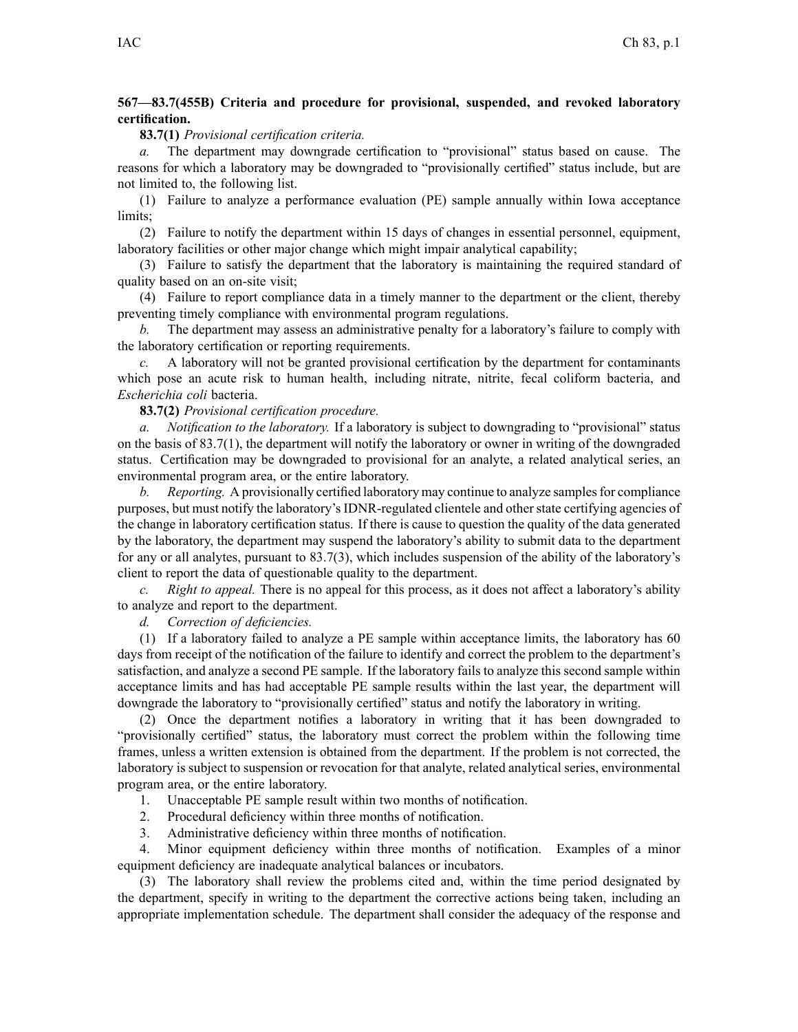# **567—83.7(455B) Criteria and procedure for provisional, suspended, and revoked laboratory certification.**

#### **83.7(1)** *Provisional certification criteria.*

*a.* The department may downgrade certification to "provisional" status based on cause. The reasons for which <sup>a</sup> laboratory may be downgraded to "provisionally certified" status include, but are not limited to, the following list.

(1) Failure to analyze <sup>a</sup> performance evaluation (PE) sample annually within Iowa acceptance limits;

(2) Failure to notify the department within 15 days of changes in essential personnel, equipment, laboratory facilities or other major change which might impair analytical capability;

(3) Failure to satisfy the department that the laboratory is maintaining the required standard of quality based on an on-site visit;

(4) Failure to repor<sup>t</sup> compliance data in <sup>a</sup> timely manner to the department or the client, thereby preventing timely compliance with environmental program regulations.

*b.* The department may assess an administrative penalty for <sup>a</sup> laboratory's failure to comply with the laboratory certification or reporting requirements.

*c.* A laboratory will not be granted provisional certification by the department for contaminants which pose an acute risk to human health, including nitrate, nitrite, fecal coliform bacteria, and *Escherichia coli* bacteria.

### **83.7(2)** *Provisional certification procedure.*

*a. Notification to the laboratory.* If <sup>a</sup> laboratory is subject to downgrading to "provisional" status on the basis of  $83.7(1)$ , the department will notify the laboratory or owner in writing of the downgraded status. Certification may be downgraded to provisional for an analyte, <sup>a</sup> related analytical series, an environmental program area, or the entire laboratory.

*Reporting.* A provisionally certified laboratory may continue to analyze samples for compliance purposes, but must notify the laboratory'sIDNR-regulated clientele and otherstate certifying agencies of the change in laboratory certification status. If there is cause to question the quality of the data generated by the laboratory, the department may suspend the laboratory's ability to submit data to the department for any or all analytes, pursuan<sup>t</sup> to 83.7(3), which includes suspension of the ability of the laboratory's client to repor<sup>t</sup> the data of questionable quality to the department.

*c. Right to appeal.* There is no appeal for this process, as it does not affect <sup>a</sup> laboratory's ability to analyze and repor<sup>t</sup> to the department.

*d. Correction of deficiencies.*

(1) If <sup>a</sup> laboratory failed to analyze <sup>a</sup> PE sample within acceptance limits, the laboratory has 60 days from receipt of the notification of the failure to identify and correct the problem to the department's satisfaction, and analyze <sup>a</sup> second PE sample. If the laboratory fails to analyze this second sample within acceptance limits and has had acceptable PE sample results within the last year, the department will downgrade the laboratory to "provisionally certified" status and notify the laboratory in writing.

(2) Once the department notifies <sup>a</sup> laboratory in writing that it has been downgraded to "provisionally certified" status, the laboratory must correct the problem within the following time frames, unless <sup>a</sup> written extension is obtained from the department. If the problem is not corrected, the laboratory is subject to suspension or revocation for that analyte, related analytical series, environmental program area, or the entire laboratory.

1. Unacceptable PE sample result within two months of notification.

2. Procedural deficiency within three months of notification.

3. Administrative deficiency within three months of notification.

4. Minor equipment deficiency within three months of notification. Examples of <sup>a</sup> minor equipment deficiency are inadequate analytical balances or incubators.

(3) The laboratory shall review the problems cited and, within the time period designated by the department, specify in writing to the department the corrective actions being taken, including an appropriate implementation schedule. The department shall consider the adequacy of the response and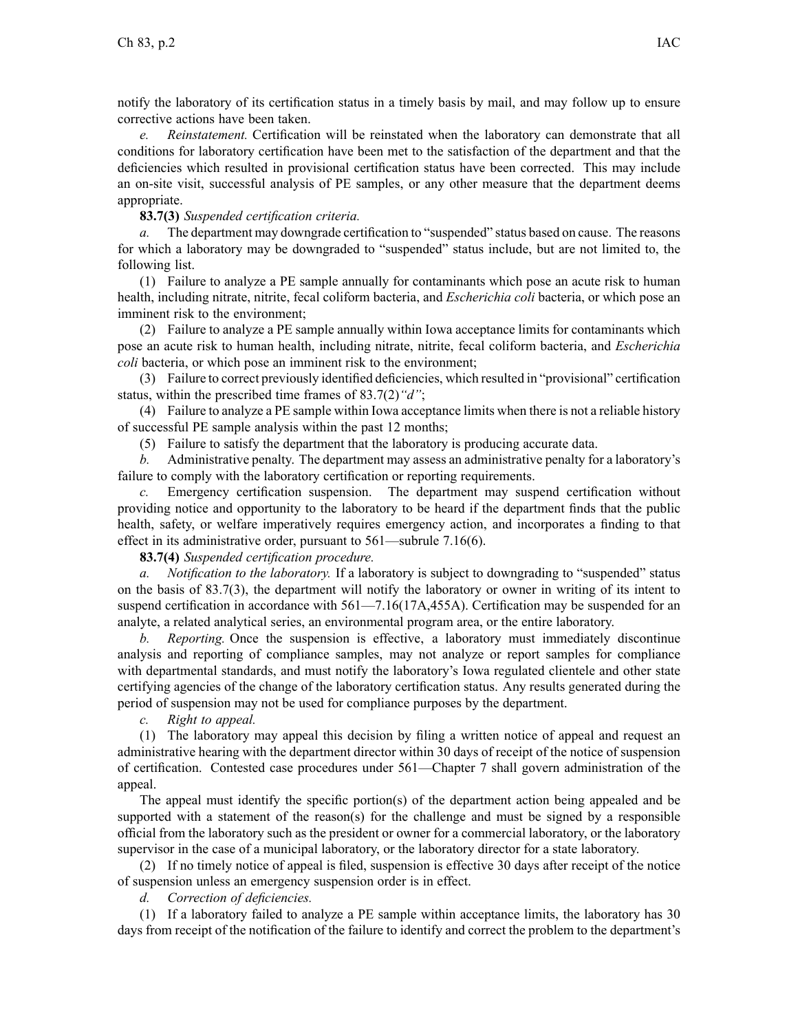notify the laboratory of its certification status in <sup>a</sup> timely basis by mail, and may follow up to ensure corrective actions have been taken.

*e. Reinstatement.* Certification will be reinstated when the laboratory can demonstrate that all conditions for laboratory certification have been met to the satisfaction of the department and that the deficiencies which resulted in provisional certification status have been corrected. This may include an on-site visit, successful analysis of PE samples, or any other measure that the department deems appropriate.

# **83.7(3)** *Suspended certification criteria.*

*a.* The department may downgrade certification to "suspended" status based on cause. The reasons for which <sup>a</sup> laboratory may be downgraded to "suspended" status include, but are not limited to, the following list.

(1) Failure to analyze <sup>a</sup> PE sample annually for contaminants which pose an acute risk to human health, including nitrate, nitrite, fecal coliform bacteria, and *Escherichia coli* bacteria, or which pose an imminent risk to the environment;

(2) Failure to analyze <sup>a</sup> PE sample annually within Iowa acceptance limits for contaminants which pose an acute risk to human health, including nitrate, nitrite, fecal coliform bacteria, and *Escherichia coli* bacteria, or which pose an imminent risk to the environment;

(3) Failure to correct previously identified deficiencies, which resulted in "provisional" certification status, within the prescribed time frames of 83.7(2)*"d"*;

(4) Failure to analyze <sup>a</sup> PE sample within Iowa acceptance limits when there is not <sup>a</sup> reliable history of successful PE sample analysis within the pas<sup>t</sup> 12 months;

(5) Failure to satisfy the department that the laboratory is producing accurate data.

*b.* Administrative penalty. The department may assess an administrative penalty for <sup>a</sup> laboratory's failure to comply with the laboratory certification or reporting requirements.

*c.* Emergency certification suspension. The department may suspend certification without providing notice and opportunity to the laboratory to be heard if the department finds that the public health, safety, or welfare imperatively requires emergency action, and incorporates <sup>a</sup> finding to that effect in its administrative order, pursuan<sup>t</sup> to 561—subrule 7.16(6).

# **83.7(4)** *Suspended certification procedure.*

*a. Notification to the laboratory.* If <sup>a</sup> laboratory is subject to downgrading to "suspended" status on the basis of 83.7(3), the department will notify the laboratory or owner in writing of its intent to suspend certification in accordance with 561—7.16(17A,455A). Certification may be suspended for an analyte, <sup>a</sup> related analytical series, an environmental program area, or the entire laboratory.

*b. Reporting.* Once the suspension is effective, <sup>a</sup> laboratory must immediately discontinue analysis and reporting of compliance samples, may not analyze or repor<sup>t</sup> samples for compliance with departmental standards, and must notify the laboratory's Iowa regulated clientele and other state certifying agencies of the change of the laboratory certification status. Any results generated during the period of suspension may not be used for compliance purposes by the department.

*c. Right to appeal.*

(1) The laboratory may appeal this decision by filing <sup>a</sup> written notice of appeal and reques<sup>t</sup> an administrative hearing with the department director within 30 days of receipt of the notice of suspension of certification. Contested case procedures under 561—Chapter 7 shall govern administration of the appeal.

The appeal must identify the specific portion(s) of the department action being appealed and be supported with a statement of the reason(s) for the challenge and must be signed by a responsible official from the laboratory such as the president or owner for <sup>a</sup> commercial laboratory, or the laboratory supervisor in the case of <sup>a</sup> municipal laboratory, or the laboratory director for <sup>a</sup> state laboratory.

(2) If no timely notice of appeal is filed, suspension is effective 30 days after receipt of the notice of suspension unless an emergency suspension order is in effect.

*d. Correction of deficiencies.*

(1) If <sup>a</sup> laboratory failed to analyze <sup>a</sup> PE sample within acceptance limits, the laboratory has 30 days from receipt of the notification of the failure to identify and correct the problem to the department's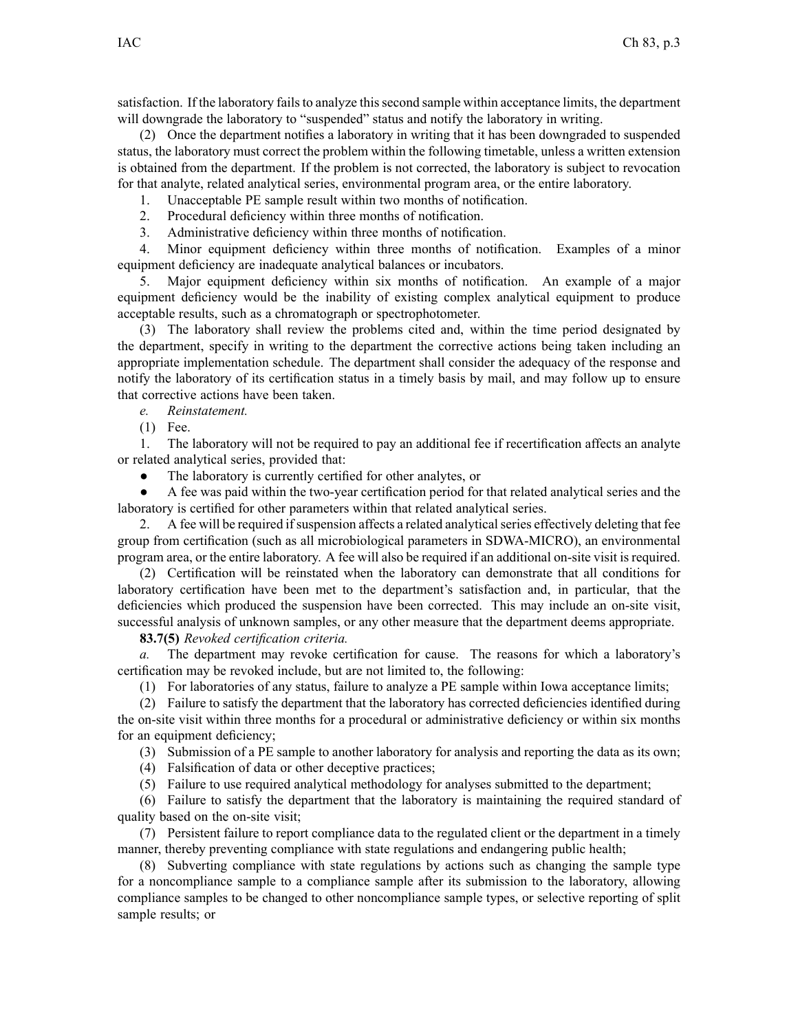satisfaction. If the laboratory fails to analyze this second sample within acceptance limits, the department will downgrade the laboratory to "suspended" status and notify the laboratory in writing.

(2) Once the department notifies <sup>a</sup> laboratory in writing that it has been downgraded to suspended status, the laboratory must correct the problem within the following timetable, unless <sup>a</sup> written extension is obtained from the department. If the problem is not corrected, the laboratory is subject to revocation for that analyte, related analytical series, environmental program area, or the entire laboratory.

1. Unacceptable PE sample result within two months of notification.

- 2. Procedural deficiency within three months of notification.
- 3. Administrative deficiency within three months of notification.

4. Minor equipment deficiency within three months of notification. Examples of <sup>a</sup> minor equipment deficiency are inadequate analytical balances or incubators.

5. Major equipment deficiency within six months of notification. An example of <sup>a</sup> major equipment deficiency would be the inability of existing complex analytical equipment to produce acceptable results, such as <sup>a</sup> chromatograph or spectrophotometer.

(3) The laboratory shall review the problems cited and, within the time period designated by the department, specify in writing to the department the corrective actions being taken including an appropriate implementation schedule. The department shall consider the adequacy of the response and notify the laboratory of its certification status in <sup>a</sup> timely basis by mail, and may follow up to ensure that corrective actions have been taken.

*e. Reinstatement.*

(1) Fee.

1. The laboratory will not be required to pay an additional fee if recertification affects an analyte or related analytical series, provided that:

●The laboratory is currently certified for other analytes, or

● A fee was paid within the two-year certification period for that related analytical series and the laboratory is certified for other parameters within that related analytical series.

2. A fee will be required if suspension affects a related analytical series effectively deleting that fee group from certification (such as all microbiological parameters in SDWA-MICRO), an environmental program area, or the entire laboratory. A fee will also be required if an additional on-site visit is required.

(2) Certification will be reinstated when the laboratory can demonstrate that all conditions for laboratory certification have been met to the department's satisfaction and, in particular, that the deficiencies which produced the suspension have been corrected. This may include an on-site visit, successful analysis of unknown samples, or any other measure that the department deems appropriate.

**83.7(5)** *Revoked certification criteria.*

*a.* The department may revoke certification for cause. The reasons for which <sup>a</sup> laboratory's certification may be revoked include, but are not limited to, the following:

(1) For laboratories of any status, failure to analyze <sup>a</sup> PE sample within Iowa acceptance limits;

(2) Failure to satisfy the department that the laboratory has corrected deficiencies identified during the on-site visit within three months for <sup>a</sup> procedural or administrative deficiency or within six months for an equipment deficiency;

(3) Submission of <sup>a</sup> PE sample to another laboratory for analysis and reporting the data as its own;

(4) Falsification of data or other deceptive practices;

(5) Failure to use required analytical methodology for analyses submitted to the department;

(6) Failure to satisfy the department that the laboratory is maintaining the required standard of quality based on the on-site visit;

(7) Persistent failure to repor<sup>t</sup> compliance data to the regulated client or the department in <sup>a</sup> timely manner, thereby preventing compliance with state regulations and endangering public health;

(8) Subverting compliance with state regulations by actions such as changing the sample type for <sup>a</sup> noncompliance sample to <sup>a</sup> compliance sample after its submission to the laboratory, allowing compliance samples to be changed to other noncompliance sample types, or selective reporting of split sample results; or